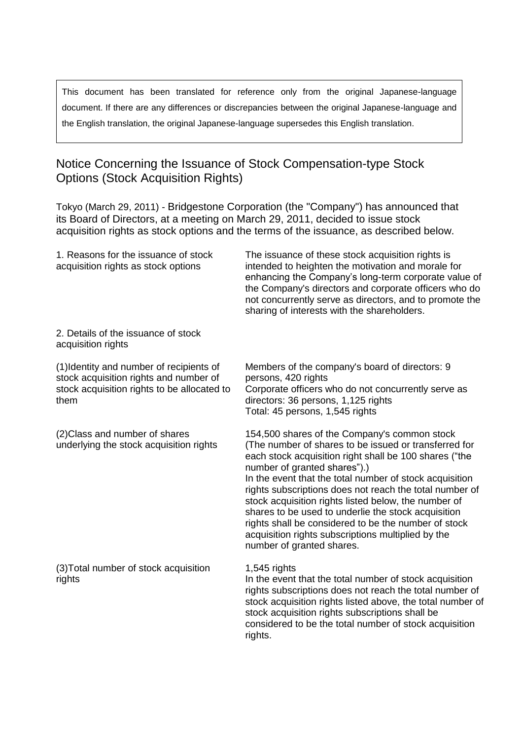This document has been translated for reference only from the original Japanese-language document. If there are any differences or discrepancies between the original Japanese-language and the English translation, the original Japanese-language supersedes this English translation.

## Notice Concerning the Issuance of Stock Compensation-type Stock Options (Stock Acquisition Rights)

Tokyo (March 29, 2011) - Bridgestone Corporation (the "Company") has announced that its Board of Directors, at a meeting on March 29, 2011, decided to issue stock acquisition rights as stock options and the terms of the issuance, as described below.

| 1. Reasons for the issuance of stock<br>acquisition rights as stock options                                                               | The issuance of these stock acquisition rights is<br>intended to heighten the motivation and morale for<br>enhancing the Company's long-term corporate value of<br>the Company's directors and corporate officers who do<br>not concurrently serve as directors, and to promote the<br>sharing of interests with the shareholders.                                                                                                                                                                                                                                              |
|-------------------------------------------------------------------------------------------------------------------------------------------|---------------------------------------------------------------------------------------------------------------------------------------------------------------------------------------------------------------------------------------------------------------------------------------------------------------------------------------------------------------------------------------------------------------------------------------------------------------------------------------------------------------------------------------------------------------------------------|
| 2. Details of the issuance of stock<br>acquisition rights                                                                                 |                                                                                                                                                                                                                                                                                                                                                                                                                                                                                                                                                                                 |
| (1) Identity and number of recipients of<br>stock acquisition rights and number of<br>stock acquisition rights to be allocated to<br>them | Members of the company's board of directors: 9<br>persons, 420 rights<br>Corporate officers who do not concurrently serve as<br>directors: 36 persons, 1,125 rights<br>Total: 45 persons, 1,545 rights                                                                                                                                                                                                                                                                                                                                                                          |
| (2) Class and number of shares<br>underlying the stock acquisition rights                                                                 | 154,500 shares of the Company's common stock<br>(The number of shares to be issued or transferred for<br>each stock acquisition right shall be 100 shares ("the<br>number of granted shares").)<br>In the event that the total number of stock acquisition<br>rights subscriptions does not reach the total number of<br>stock acquisition rights listed below, the number of<br>shares to be used to underlie the stock acquisition<br>rights shall be considered to be the number of stock<br>acquisition rights subscriptions multiplied by the<br>number of granted shares. |
| (3) Total number of stock acquisition<br>rights                                                                                           | $1,545$ rights<br>In the event that the total number of stock acquisition<br>rights subscriptions does not reach the total number of<br>stock acquisition rights listed above, the total number of<br>stock acquisition rights subscriptions shall be<br>considered to be the total number of stock acquisition<br>rights.                                                                                                                                                                                                                                                      |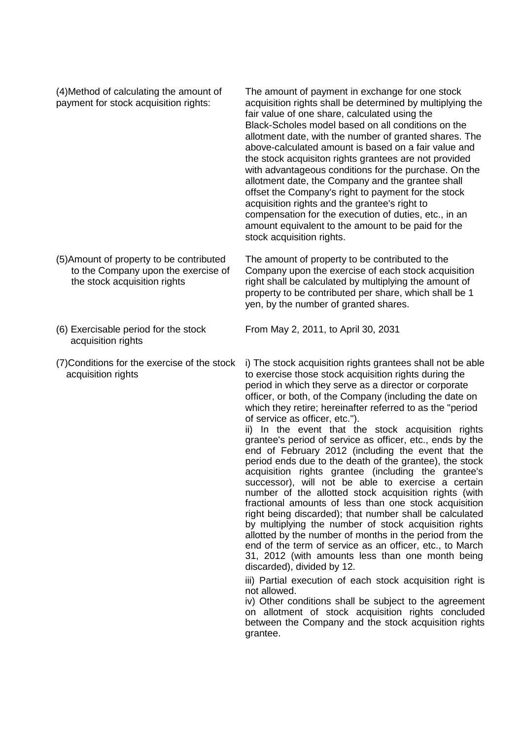(4)Method of calculating the amount of payment for stock acquisition rights:

The amount of payment in exchange for one stock acquisition rights shall be determined by multiplying the fair value of one share, calculated using the Black-Scholes model based on all conditions on the allotment date, with the number of granted shares. The above-calculated amount is based on a fair value and the stock acquisiton rights grantees are not provided with advantageous conditions for the purchase. On the allotment date, the Company and the grantee shall offset the Company's right to payment for the stock acquisition rights and the grantee's right to compensation for the execution of duties, etc., in an amount equivalent to the amount to be paid for the stock acquisition rights.

The amount of property to be contributed to the Company upon the exercise of each stock acquisition right shall be calculated by multiplying the amount of property to be contributed per share, which shall be 1 yen, by the number of granted shares.

(6) Exercisable period for the stock acquisition rights

the stock acquisition rights

(5)Amount of property to be contributed to the Company upon the exercise of

(7)Conditions for the exercise of the stock acquisition rights

From May 2, 2011, to April 30, 2031

i) The stock acquisition rights grantees shall not be able to exercise those stock acquisition rights during the period in which they serve as a director or corporate officer, or both, of the Company (including the date on which they retire; hereinafter referred to as the "period of service as officer, etc.").

ii) In the event that the stock acquisition rights grantee's period of service as officer, etc., ends by the end of February 2012 (including the event that the period ends due to the death of the grantee), the stock acquisition rights grantee (including the grantee's successor), will not be able to exercise a certain number of the allotted stock acquisition rights (with fractional amounts of less than one stock acquisition right being discarded); that number shall be calculated by multiplying the number of stock acquisition rights allotted by the number of months in the period from the end of the term of service as an officer, etc., to March 31, 2012 (with amounts less than one month being discarded), divided by 12.

iii) Partial execution of each stock acquisition right is not allowed.

iv) Other conditions shall be subject to the agreement on allotment of stock acquisition rights concluded between the Company and the stock acquisition rights grantee.